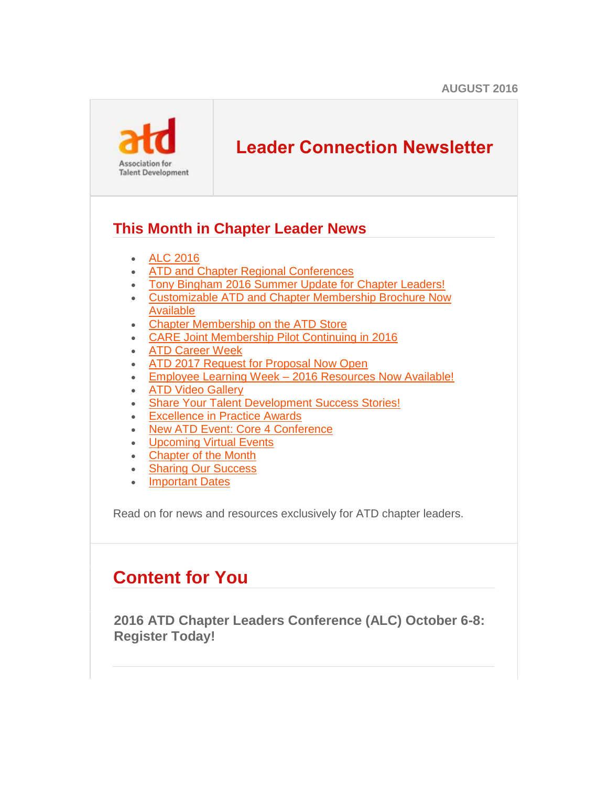

# **Leader Connection Newsletter**

## **This Month in Chapter Leader News**

- [ALC 2016](#page-0-0)
- [ATD and Chapter Regional Conferences](#page-2-0)
- [Tony Bingham 2016 Summer Update for Chapter Leaders!](#page-3-0)
- [Customizable ATD and Chapter Membership Brochure Now](#page-3-1)  [Available](#page-3-1)
- [Chapter Membership on the ATD Store](#page-4-0)
- [CARE Joint Membership Pilot Continuing in 2016](#page-4-1)
- [ATD Career Week](#page-4-2)
- [ATD 2017 Request for Proposal Now Open](#page-5-0)
- **Employee Learning Week [2016 Resources Now Available!](#page-5-1)**
- [ATD Video Gallery](#page-5-2)
- [Share Your Talent Development Success Stories!](#page-6-0)
- [Excellence in Practice Awards](#page-6-1)
- [New ATD Event: Core 4 Conference](#page-6-2)
- [Upcoming Virtual Events](#page-7-0)
- [Chapter of the Month](#page-8-0)
- Sharing Our Success
- **[Important Dates](#page-12-0)**

Read on for news and resources exclusively for ATD chapter leaders.

# **Content for You**

<span id="page-0-0"></span>**2016 ATD Chapter Leaders Conference (ALC) October 6-8: Register Today!**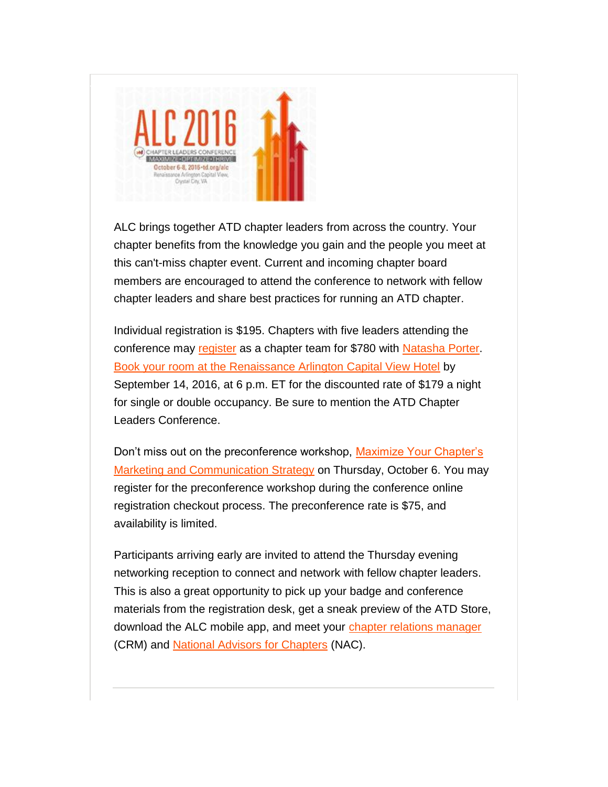

ALC brings together ATD chapter leaders from across the country. Your chapter benefits from the knowledge you gain and the people you meet at this can't-miss chapter event. Current and incoming chapter board members are encouraged to attend the conference to network with fellow chapter leaders and share best practices for running an ATD chapter.

Individual registration is \$195. Chapters with five leaders attending the conference may [register](http://comm.td.org/t/l?ssid=21122&subscriber_id=bvnhonqparaxemcwpufzfshxtthwbel&delivery_id=apnppyppkkjdjpyonhpjxtfsxyjhbig&td=q_xO5uiZloTbIT6T1dOrvQcPq224LfEhL41ZF2nqU-6panwYPvxAKi-3pCeWz69pkYyM0vnsh9VzHM10MmlGnW8oCZZlrBA0j0y7mHpCdn7RChA1uaBgJsIZd3e7S6-djMVyrT9YsyObar2llPNco_V_ZczGJcP2zi3HmXad-uIPMrlNoHLGl9d6SM4qT4hPbmkF-FyVflCeitDdW6BxJaTvjI9Eu814VlZdX4tDYMQ2iFFZB9uzs8VQ) as a chapter team for \$780 with [Natasha Porter.](mailto:nporter@td.org) [Book your room at the Renaissance Arlington Capital View Hotel](http://comm.td.org/t/l?ssid=21122&subscriber_id=bvnhonqparaxemcwpufzfshxtthwbel&delivery_id=apnppyppkkjdjpyonhpjxtfsxyjhbig&td=3TtvVeNJiWh5TCbZYsBqygSeU_Z2IWMEJYVnNPGuT2GbnoVt2jzcb67gh033ejMudbiCZHxzRqHht4D1GV8K9CwCEF1hcTXaVCnlBt-wYZqzqnsVDsbf0gNGI-l1NKUT_Sbw0hAtjn0kUo7ixKDVzKccG4z7pZJhuegc7hfv8g_8vBfcC9LIR26XDTDZq_3fGpUwBV7tgW0ONWuhXq6YId89aFAQfUc2_b5rSjshEhMT2iTyKwSH33KQ9S0I8IRXHif9dQh_cHhzxJEYUoyk3Dm8zJpzZqYpromoL6cN2RjTzrNa2EFLNfUw) by September 14, 2016, at 6 p.m. ET for the discounted rate of \$179 a night for single or double occupancy. Be sure to mention the ATD Chapter Leaders Conference.

Don't miss out on the preconference workshop, [Maximize Your Chapter's](http://comm.td.org/t/l?ssid=21122&subscriber_id=bvnhonqparaxemcwpufzfshxtthwbel&delivery_id=apnppyppkkjdjpyonhpjxtfsxyjhbig&td=LTT521fVh1gUylBjt__G3ApWlh0pKpFqbluHzLkNf91T_7I3-2knk4xmYPtuO-JFv0ZO0Rk_pvMhlhZ4iwfmBIOUfEJsjZGD-lPlSnwDcbATxNSdWHdRz1q7MBy3y3kZBDQOxELlU0VMI2-Y2W6kIpzJHQVH-rTW3ftEQvyZ072LJqMh-npCk76SW1a4oZ-m_LP4HvS-6XL9L49KuzYPKn2DQMMrvwa6acwdA7Wqn7GmTOussDlwGS9m4AwKNBwG6N1meG5PH29mdsrmxHJW3sLXm4X5Xzbk3sRXaveqYHJQ1uvBmZ1jsZhA)  [Marketing and Communication Strategy](http://comm.td.org/t/l?ssid=21122&subscriber_id=bvnhonqparaxemcwpufzfshxtthwbel&delivery_id=apnppyppkkjdjpyonhpjxtfsxyjhbig&td=LTT521fVh1gUylBjt__G3ApWlh0pKpFqbluHzLkNf91T_7I3-2knk4xmYPtuO-JFv0ZO0Rk_pvMhlhZ4iwfmBIOUfEJsjZGD-lPlSnwDcbATxNSdWHdRz1q7MBy3y3kZBDQOxELlU0VMI2-Y2W6kIpzJHQVH-rTW3ftEQvyZ072LJqMh-npCk76SW1a4oZ-m_LP4HvS-6XL9L49KuzYPKn2DQMMrvwa6acwdA7Wqn7GmTOussDlwGS9m4AwKNBwG6N1meG5PH29mdsrmxHJW3sLXm4X5Xzbk3sRXaveqYHJQ1uvBmZ1jsZhA) on Thursday, October 6. You may register for the preconference workshop during the conference online registration checkout process. The preconference rate is \$75, and availability is limited.

Participants arriving early are invited to attend the Thursday evening networking reception to connect and network with fellow chapter leaders. This is also a great opportunity to pick up your badge and conference materials from the registration desk, get a sneak preview of the ATD Store, download the ALC mobile app, and meet your [chapter relations manager](http://comm.td.org/t/l?ssid=21122&subscriber_id=bvnhonqparaxemcwpufzfshxtthwbel&delivery_id=apnppyppkkjdjpyonhpjxtfsxyjhbig&td=jUN54lfPiGg9Nu4tGJhDxAvdaxJ9RYhzdp70ObDQiJjAZnalSq96TIdZJcNDDsHiJiO-gx8xQCITIV0QffWUMDD88poTHM6jlgiMFFFoaTZkLwGgHqMIHYkWXl8AqCfiYT0T52J6DVI0iI6fPnBy2TfsxXJUcg1MVJYm8xH3BGXZJ_l98hi589WNKhetBW_WlafHgfXbyI8JgTxVWOBEqHBlXBFprJKsnhDgRch-wczBjSw9u_gSaMK3TGZ1rglbxUhU81yqxBuJ0) (CRM) and [National Advisors for Chapters](http://comm.td.org/t/l?ssid=21122&subscriber_id=bvnhonqparaxemcwpufzfshxtthwbel&delivery_id=apnppyppkkjdjpyonhpjxtfsxyjhbig&td=mSVYvD0Ws1khXqrXKg4_DQJ_qDXGYarYX0gHwuKMvvdg4vih4OdljLttyKpORhc5skzYSWvfNSSb12Yx0uX3dwcruEnmbnwGrgpYmtECkpELRAyRif5vNvFO5lik7BBnyMo7ZeSQKmOTKR3tAr-0SmTxqLVu1oC4gJaVwh6gJ6AFJ2MZB2NNkvw1QE7KOUHwnp93AX9pBnXRdmKmBNrYAzzip1SiQ7uGwwCz1trM3srTtQRBH5xQX-vV-6ZP_vMqp0A6cSAbmCu_0) (NAC).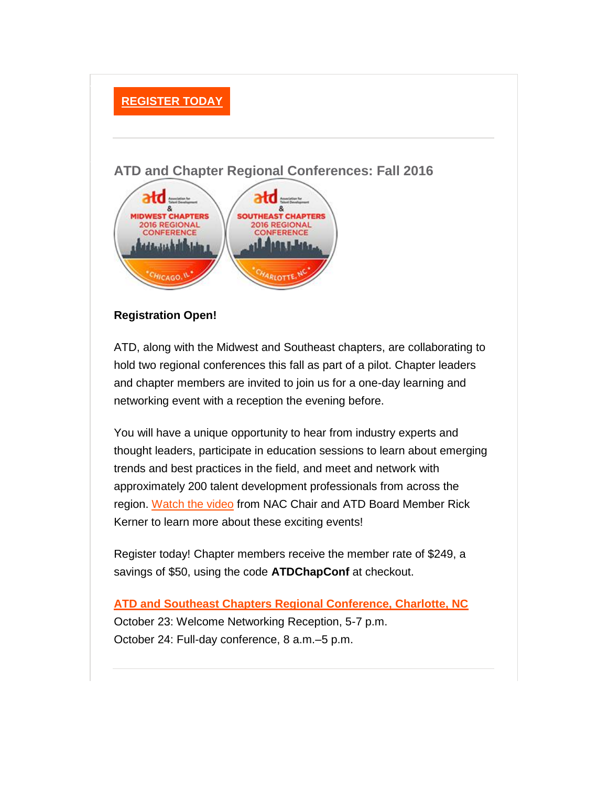### **[REGISTER TODAY](http://comm.td.org/t/l?ssid=21122&subscriber_id=bvnhonqparaxemcwpufzfshxtthwbel&delivery_id=apnppyppkkjdjpyonhpjxtfsxyjhbig&td=zLf7bVtNuGvwnvhxxAaGmAd_DGmjMlBOrj5cn8eEoSYx0SAHerdEkud7S45HEbRaIbChPV0OCHx5rM4Q23LnrskOSUxnh-ZZswohbdCTe8XrPFLI5y5tj96Rfyr-jyHIflxovwTDHOU_t3xWtfXoSw165yZwC_IZZXpb05LdY24cYabtLt5_q0MUwpDVzJ01N91-r63o9vmyzQxIr2jjDnjFAUNw0yrkq0rcHFywipaiscgyI94enb9w)**

### <span id="page-2-0"></span>**ATD and Chapter Regional Conferences: Fall 2016**



### **Registration Open!**

ATD, along with the Midwest and Southeast chapters, are collaborating to hold two regional conferences this fall as part of a pilot. Chapter leaders and chapter members are invited to join us for a one-day learning and networking event with a reception the evening before.

You will have a unique opportunity to hear from industry experts and thought leaders, participate in education sessions to learn about emerging trends and best practices in the field, and meet and network with approximately 200 talent development professionals from across the region. [Watch the video](http://comm.td.org/t/l?ssid=21122&subscriber_id=bvnhonqparaxemcwpufzfshxtthwbel&delivery_id=apnppyppkkjdjpyonhpjxtfsxyjhbig&td=IXwLesBDsVaeR3arXIaNgg9elt8m7uAQ9QfT3rxOy0ZukVcuxSQVH_xhu0o8gFv1-BXG4Ky8dQOpkwRt0Oo-xzQ5OnYnT99lcAo4UznFFP3yDWrszbwP-ahSyQZFZSxzolgfqwe9Q-YbbLQ6ZRkbk5K8IP6ba-BU3ul3ZiqsdmU2Kim5zI2xJgWbqSOCZXTiK4Fnmka4PVvnGjsCTYqRP4J-zQjb88-T8uz7wDfex7OBPr5ua81zhXHg) from NAC Chair and ATD Board Member Rick Kerner to learn more about these exciting events!

Register today! Chapter members receive the member rate of \$249, a savings of \$50, using the code **ATDChapConf** at checkout.

**[ATD and Southeast Chapters Regional Conference, Charlotte, NC](http://comm.td.org/t/l?ssid=21122&subscriber_id=bvnhonqparaxemcwpufzfshxtthwbel&delivery_id=apnppyppkkjdjpyonhpjxtfsxyjhbig&td=xHMcB_bx4bIPCFHXXV9TqA0UkTyPH9hFnRNOv-oGvMO8Xzqsko0w41X2FNzH8LaP6Kz8fTlCJeU41USrLBbEzOffDQpN4lxcw6OfP5g1mqx-PusUK5QsdfmKZMXtKcjlGnlh5045_wjHObNs1xqRnb1cx8G7iNuXfv4YcTDXsAZPAkkb6jdwAt3s5LYFJp9o6_8ttfSxR64shsW_0nb97Xeeb31qcntvROfN_JCwy27NM5Ejt1NHqzi-NC_eKzdx0sG37p37voK9_egfX-BteHVLSxaYeqkRDjc0GClpYlUEJk9dB0H8VRMQ)** October 23: Welcome Networking Reception, 5-7 p.m. October 24: Full-day conference, 8 a.m.–5 p.m.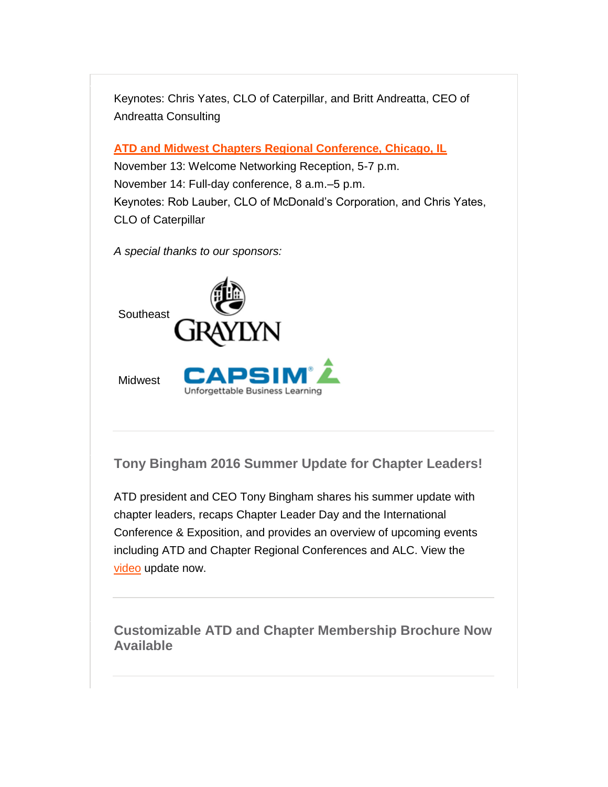Keynotes: Chris Yates, CLO of Caterpillar, and Britt Andreatta, CEO of Andreatta Consulting

**[ATD and Midwest Chapters Regional Conference, Chicago, IL](http://comm.td.org/t/l?ssid=21122&subscriber_id=bvnhonqparaxemcwpufzfshxtthwbel&delivery_id=apnppyppkkjdjpyonhpjxtfsxyjhbig&td=xw0i7vAaZEt74LwklM0dAQQKy6Jc9CGprYM2gmA3rRaXIhvZqgKjGooanidFSYHe-NZuQ6gdo8F3l54hxlw1gvTnAf6tHXE7BwEYObHHzpekyR7viTCj8H6PI6YaxnXYFMoBTnG4s7qNkdaIEYdTIRTdPGxC_PFTpTEkNlLCs9ZzgGHjT1WilesYLQ5dKo2eYr-9kZRgJJTITZjFeDpmIMImawEJS_M7RxZCvpuCQkfTX98TanGnPIHrf8eyi6ywaL8Vs1LZB-SN7L01rqqIsv3GmN6vbfpZHSWWo6zNI7unJVQTbwzHOqNA)**

November 13: Welcome Networking Reception, 5-7 p.m. November 14: Full-day conference, 8 a.m.–5 p.m. Keynotes: Rob Lauber, CLO of McDonald's Corporation, and Chris Yates, CLO of Caterpillar

*A special thanks to our sponsors:*



<span id="page-3-0"></span>**Tony Bingham 2016 Summer Update for Chapter Leaders!**

ATD president and CEO Tony Bingham shares his summer update with chapter leaders, recaps Chapter Leader Day and the International Conference & Exposition, and provides an overview of upcoming events including ATD and Chapter Regional Conferences and ALC. View the [video](http://comm.td.org/t/l?ssid=21122&subscriber_id=bvnhonqparaxemcwpufzfshxtthwbel&delivery_id=apnppyppkkjdjpyonhpjxtfsxyjhbig&td=WZetmERVvR67QsLMMPonzAj5vk8euhTpVSCGeDNor6x61rGBCrujrWMXs8MYaMmGodaUTb8pAOIi7dymkMB534VLWct9uo2CCXvojdouDoc3y5iW8xFC-T1AP6kkZlwNVp_oCdX8YEJwudsCfMXj-9772JOzQ6OlrYhjET2bKHS93DioVFgeR76fHMwAjC2PBaYnWkG9_7yBD69BW9CCK9CmOkKNHm72C5) update now.

<span id="page-3-1"></span>**Customizable ATD and Chapter Membership Brochure Now Available**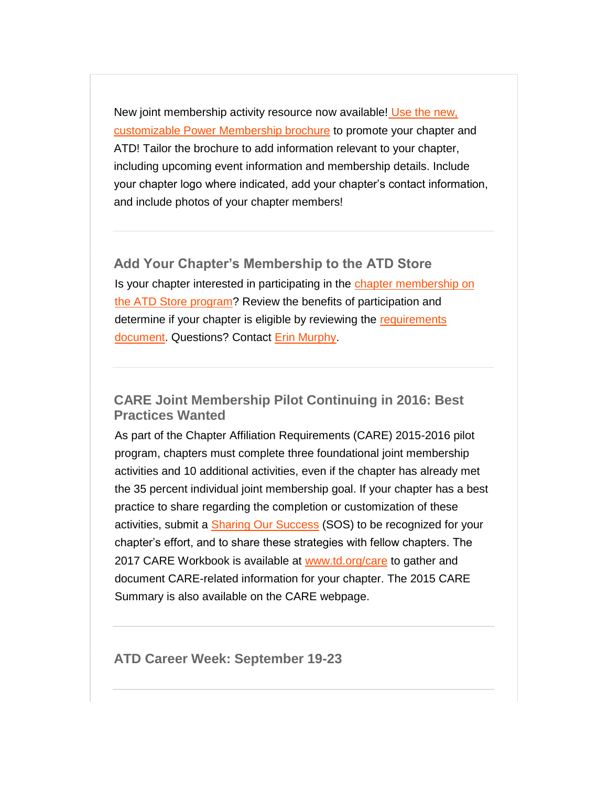New joint membership activity resource now available! [Use the new,](http://comm.td.org/t/l?ssid=21122&subscriber_id=bvnhonqparaxemcwpufzfshxtthwbel&delivery_id=apnppyppkkjdjpyonhpjxtfsxyjhbig&td=Sldg7-x6pvvzlE1-mLprYwqlp1oKUNr_qNGWGMeRoaO6kHgN07opXlhVTqpqrtoH1kIoJhFmxrOmzjmArodGQzXhFNA_ncfxO9nmqqL-eJ3l9q_0FyUc9umWPpKV5GswSIYigtLAEjXqfeHlztYqLHTjzplEOD_vXAirqIMDuzcUhJ6kEMqMbYgQWbhRTAsQrJVUytiaZW_2dgpyx1IHPhlMFTElTz4WtBbiPem49wpKzbQPPlZVm--PklzY_atIrNcXkC7RcCL_qfpRLvQGDbmNeM4QPFzW7t)  [customizable Power Membership brochure](http://comm.td.org/t/l?ssid=21122&subscriber_id=bvnhonqparaxemcwpufzfshxtthwbel&delivery_id=apnppyppkkjdjpyonhpjxtfsxyjhbig&td=Sldg7-x6pvvzlE1-mLprYwqlp1oKUNr_qNGWGMeRoaO6kHgN07opXlhVTqpqrtoH1kIoJhFmxrOmzjmArodGQzXhFNA_ncfxO9nmqqL-eJ3l9q_0FyUc9umWPpKV5GswSIYigtLAEjXqfeHlztYqLHTjzplEOD_vXAirqIMDuzcUhJ6kEMqMbYgQWbhRTAsQrJVUytiaZW_2dgpyx1IHPhlMFTElTz4WtBbiPem49wpKzbQPPlZVm--PklzY_atIrNcXkC7RcCL_qfpRLvQGDbmNeM4QPFzW7t) to promote your chapter and ATD! Tailor the brochure to add information relevant to your chapter, including upcoming event information and membership details. Include your chapter logo where indicated, add your chapter's contact information, and include photos of your chapter members!

### <span id="page-4-0"></span>**Add Your Chapter's Membership to the ATD Store**

Is your chapter interested in participating in the chapter membership on [the ATD Store program?](http://comm.td.org/t/l?ssid=21122&subscriber_id=bvnhonqparaxemcwpufzfshxtthwbel&delivery_id=apnppyppkkjdjpyonhpjxtfsxyjhbig&td=1hMBcyAoM-afE1CwdwESng0ErT2k4gur2ACeQj1fBR7Skuwlht6Gcf1WENUFA6ew1SWZXGaXgaX6GlKwV-hYGfxJpya0uD82BAXdpXw_BQn7X9BFrWfv5uwNRCxT5sorrOTiaVBqDgeA_PBwcyuvESHj4vxXJb2N5HHgJ0ag2K6lA_S1ITMK0g0yXTmL9LusIzeC4-K0s7IF2528UEnMwklH8lej13PGbDhOD9hs5jFEF--oRdJqFMYaGlwt-Y29EhAVFS49tfYaakvULqxZZXY2lX1scGKBln) Review the benefits of participation and determine if your chapter is eligible by reviewing the requirements [document.](http://comm.td.org/t/l?ssid=21122&subscriber_id=bvnhonqparaxemcwpufzfshxtthwbel&delivery_id=apnppyppkkjdjpyonhpjxtfsxyjhbig&td=ErLR1MfxXQF4e6o6BkOFuwv3bUKuQjx8_HSuNqYqsOULUfbYy6AnIC7xdO7YacOYCqQg8EI9cOJwGeGIki5lque533Bmc5ZTQrr-8SMt1mIEsxHNKNg0FcNj5zAGbMa5lfs02-rTvFpZG5wlcu_e8YMqB_LbG-F-eJ0AP4TYjcIXsMjoShGLAUyc2pUub2PCl-4Kbw1I84CDKN3RIvVsYB2MJRiB0qIG8dRBFOH-0JvWLw20Ww2Eb4Tg) Questions? Contact [Erin Murphy.](mailto:emurphy@td.org)

### <span id="page-4-1"></span>**CARE Joint Membership Pilot Continuing in 2016: Best Practices Wanted**

As part of the Chapter Affiliation Requirements (CARE) 2015-2016 pilot program, chapters must complete three foundational joint membership activities and 10 additional activities, even if the chapter has already met the 35 percent individual joint membership goal. If your chapter has a best practice to share regarding the completion or customization of these activities, submit a [Sharing Our Success](http://comm.td.org/t/l?ssid=21122&subscriber_id=bvnhonqparaxemcwpufzfshxtthwbel&delivery_id=apnppyppkkjdjpyonhpjxtfsxyjhbig&td=v1noIx6HCAeQFvYA-egP5QbfHOb8K65Y9u_oL2rDl1xyjgLVAQSXGgZXG84wiqRGFZILe67aOA1cXHiuex7aPeVEMNhND5rQ9VfkdRagK6WQk3qXTnwFr-7zRCTd4vbsoR4J-cRpx3kFy845csPYZwGKHQnzSENUtwTiRsqL8A81j5xNG6dkUsI72kodFSIBz5v7xU3cmMg9pE-G6QXd38TkFMPmMX08IvpFJ3BFc3tlsGG3gpcYFlvQ) (SOS) to be recognized for your chapter's effort, and to share these strategies with fellow chapters. The 2017 CARE Workbook is available at [www.td.org/care](http://comm.td.org/t/l?ssid=21122&subscriber_id=bvnhonqparaxemcwpufzfshxtthwbel&delivery_id=apnppyppkkjdjpyonhpjxtfsxyjhbig&td=GzMRWja-ELzPe2rQKjJifQur1YL02Do2sPKxMbV7Qnysne-WxsSdj5Id2-HT8vvNcUSpeZafHJgforNWMweLd5nvwqchhfbkuWj5k5Jcss1slhIwrBiYZ14vN6dgOD16_ztopmNe_bUeXyGqWdjue9hPSGVzYhZh9SmhGpxBRc-dhyK2BmYFjguc996XHo9W0Mf1QQQme2NQzhd0HQBj-MkNSBeO6R4yvElbKt17oQg5RfRacwS9ZoYg) to gather and document CARE-related information for your chapter. The 2015 CARE Summary is also available on the CARE webpage.

<span id="page-4-2"></span>**ATD Career Week: September 19-23**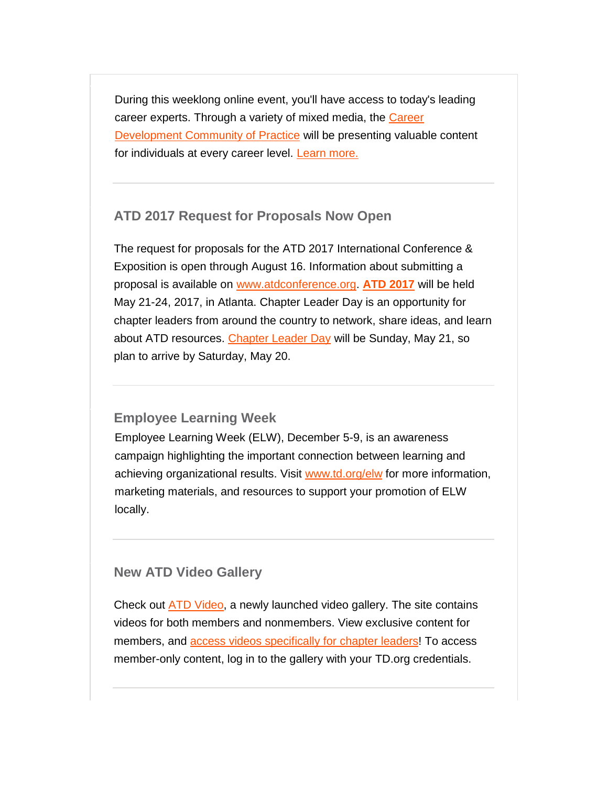During this weeklong online event, you'll have access to today's leading career experts. Through a variety of mixed media, the [Career](http://comm.td.org/t/l?ssid=21122&subscriber_id=bvnhonqparaxemcwpufzfshxtthwbel&delivery_id=apnppyppkkjdjpyonhpjxtfsxyjhbig&td=OpckKYPo70C7MHH16AzArwaQ78efqFTRiJbJYah4bDrvE3S0JmzWxgJ_GQEM58MG_hMgw9ZJa1K_s1XNjQ02MWia_7e7JTRAELLoomPVs5dtcjF34NREyH8SDs36Wvl209HO8f-A_gOWM83Xt0bzE3Z6xvJuXt3auuyfuUPN-W8PaMS7EZ_CacCLdJjXyDaXkRz-9F7cNU0wl0xY1wsqb5zQCziwaQ1ZxdhNujmYoYfMFzj2XW9UJhDMnAdJeLckj0oCY7C4LshTz_awpJiEIJ03YM76p4Lu-1)  [Development Community of Practice](http://comm.td.org/t/l?ssid=21122&subscriber_id=bvnhonqparaxemcwpufzfshxtthwbel&delivery_id=apnppyppkkjdjpyonhpjxtfsxyjhbig&td=OpckKYPo70C7MHH16AzArwaQ78efqFTRiJbJYah4bDrvE3S0JmzWxgJ_GQEM58MG_hMgw9ZJa1K_s1XNjQ02MWia_7e7JTRAELLoomPVs5dtcjF34NREyH8SDs36Wvl209HO8f-A_gOWM83Xt0bzE3Z6xvJuXt3auuyfuUPN-W8PaMS7EZ_CacCLdJjXyDaXkRz-9F7cNU0wl0xY1wsqb5zQCziwaQ1ZxdhNujmYoYfMFzj2XW9UJhDMnAdJeLckj0oCY7C4LshTz_awpJiEIJ03YM76p4Lu-1) will be presenting valuable content for individuals at every career level. [Learn more.](http://comm.td.org/t/l?ssid=21122&subscriber_id=bvnhonqparaxemcwpufzfshxtthwbel&delivery_id=apnppyppkkjdjpyonhpjxtfsxyjhbig&td=hgkwwuRsiYGofGxPBXBtxgAQ5uuAWTfzSeQMalDW3Oe_GmF4ApM5UzYQ-qaVXU4rvE0_imVJSjehfdh0ulyYGY-7gAtEef-d7TGhGC87lawrcvnHerpDmfsaRFl664L8ifqfODO5YVsm9HqNhe5JNPcXF8WRZ_kSO7ZezQxU_CeKEoCKbN3c5PzAVlPpNvPKwLOCVJNz90n4ujQzDr_y6eNJ-qMf2VOSy1Nk9iAxPmvaXIH0YhKDU0Aw)

### <span id="page-5-0"></span>**ATD 2017 Request for Proposals Now Open**

The request for proposals for the ATD 2017 International Conference & Exposition is open through August 16. Information about submitting a proposal is available on [www.atdconference.org.](http://comm.td.org/t/l?ssid=21122&subscriber_id=bvnhonqparaxemcwpufzfshxtthwbel&delivery_id=apnppyppkkjdjpyonhpjxtfsxyjhbig&td=n40SY1xke1F1svya2YEf5gORaMTycPISyTsvgamSc7dBUs_UZSopstEzraKxhvdC5kSAjDkEKpz57IP-i3w2SzuNxcitOoSmcdnYkFZq0zCuHC_UCA5MaxbamdVZZlUwyLVyGNvDnlR0YZYBvtZEZwoWOldRpmQnDwcABw8iYMiEJOoRmPZxNGkKNeWw3C1luHVp1yco2mCZUsMFgPTbZpAkoLITtufz_O04PJ1HB7VdRxReUpOebYcg) **[ATD 2017](http://comm.td.org/t/l?ssid=21122&subscriber_id=bvnhonqparaxemcwpufzfshxtthwbel&delivery_id=apnppyppkkjdjpyonhpjxtfsxyjhbig&td=7lw2TJMfzJwMngKnc3y1sQ3B6Pl6I7BxlzCmKdkncMBAqBl09N12XVqGOeqz3HXwpHbytfN3YVxpKkDSpdQlBRYkhBJVri-vUCzvI7jbTSNRNBpycfIPkDspH5Wes0Xrq_F6odOhB_7CP9nWMOQgMsNv1t4ESVCXZSzgB3ji8VUT6zAbggLuJj5JFVcUG_6ra53UpeZ_bKgvcp6p9Q1xeJeiDpF2yYd9izj5w1L5PQzmpJ5GJzd4pslg)** will be held May 21-24, 2017, in Atlanta. Chapter Leader Day is an opportunity for chapter leaders from around the country to network, share ideas, and learn about ATD resources. [Chapter Leader Day](http://comm.td.org/t/l?ssid=21122&subscriber_id=bvnhonqparaxemcwpufzfshxtthwbel&delivery_id=apnppyppkkjdjpyonhpjxtfsxyjhbig&td=6YdbbehTaXz35DWPk5c2VAypnpZeXXIHJNcUzsWdtDNzH0-Grvbg7IEVV-HVSuxMszs_NEEs6y9PoWEHYhgiupr7lUUeGPLPWdOkO9QdKFGGHDs7R5RXxhCt4loy9_TdgYe-rXlqFOWtEyK84D1LZiVO562Jvr6mN42uEZAB3jEViG3yJZmMi1ALg2d_4r_lMIcGYNVcQ39nk1tAgbDZndhbvdKmzMy8dX8Zgs6nKyESn9EUXwIddsGQ) will be Sunday, May 21, so plan to arrive by Saturday, May 20.

### <span id="page-5-1"></span>**Employee Learning Week**

Employee Learning Week (ELW), December 5-9, is an awareness campaign highlighting the important connection between learning and achieving organizational results. Visit [www.td.org/elw](http://comm.td.org/t/l?ssid=21122&subscriber_id=bvnhonqparaxemcwpufzfshxtthwbel&delivery_id=apnppyppkkjdjpyonhpjxtfsxyjhbig&td=mE5oRm44uJLJHZYa4ct13A2paYyhcKl8s1kGWevUNS-O1PP3X5TtuNGGKJ3hkQF8-f3wnRWHahETdmiKB27im-jqX5qQNx_-vfqKEo38Z80g_15mKeSr1g1dmxONNPwOAR_mM2yAYi0Ofoe6fpU-XF8quwHe1tz-fySnU2sF-BWGcxfcvRP9gltJ2o43CuSF77wFEnIt_sbUpNUr3bWsnTSC4lSjlT6b7GjBMFblrHiJhV6hmzhLxlzw) for more information, marketing materials, and resources to support your promotion of ELW locally.

### <span id="page-5-2"></span>**New ATD Video Gallery**

Check out [ATD Video,](http://comm.td.org/t/l?ssid=21122&subscriber_id=bvnhonqparaxemcwpufzfshxtthwbel&delivery_id=apnppyppkkjdjpyonhpjxtfsxyjhbig&td=vpGeSEMLtYE-RliWuQDRbgPvKGt_fdBcgRhEO8koPvXJC3ZcfMgG9IxxAI4AzsJOxwSB41hKFmTWxfBC88IpPy_dOKZsE2xGrKB2db8Wdy_QZBXzgeKYmKoRYqGpS9zchmFZaY-U2NBhpk4jknAVs0ZX8SOY7Pnlbpqq-08Syj6qax1CskQRasuI4Z1MgpP4aIInJjo7HF3x7ajZ5Kc6XVH70HgQIZ5AImQYf68TeQTUUSoIocesyaMA) a newly launched video gallery. The site contains videos for both members and nonmembers. View exclusive content for members, and [access videos specifically for chapter leaders!](http://comm.td.org/t/l?ssid=21122&subscriber_id=bvnhonqparaxemcwpufzfshxtthwbel&delivery_id=apnppyppkkjdjpyonhpjxtfsxyjhbig&td=V-R3DYIITl7u9MSk4C58gAIoEw91stJrkh9FqVGsDcxI6XPDSGdUVcbShK8a1LsxnUCcC4swQdxdnnUrv7sNzJSWDVu3MrUucLataR1EY66Lc7xz5L2iQfyTwLOV_g5hxOJFpkvX8UbwduYQ8ydHlidb80Urj2v6ewhJcgcbGlF9d83l8kNkpO79fGM2hN28CIHWMJetjxklhPbKBGl7DcQoSZy8WTLQjAT8lfCSqMG9wgi8r1cnfhePYki-wA2KCfrMdJZgwP7WVhkJ0sm_5WzNv1p0MN-g_i) To access member-only content, log in to the gallery with your TD.org credentials.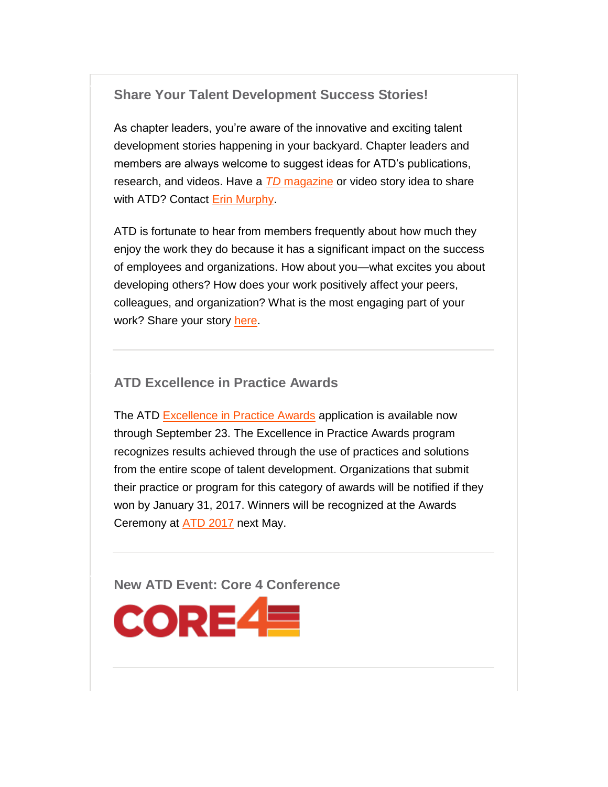### <span id="page-6-0"></span>**Share Your Talent Development Success Stories!**

As chapter leaders, you're aware of the innovative and exciting talent development stories happening in your backyard. Chapter leaders and members are always welcome to suggest ideas for ATD's publications, research, and videos. Have a *TD* [magazine](http://comm.td.org/t/l?ssid=21122&subscriber_id=bvnhonqparaxemcwpufzfshxtthwbel&delivery_id=apnppyppkkjdjpyonhpjxtfsxyjhbig&td=bLHga5eajmfR6MoPmVfD0gbN0UQAMGGjzU5I6vx6T3sb4YunbArJUeG6MLmjVl17NHjj_2uqQawPZ3hxbNuHZwip-ftUu8YJmHM4boHWy0yvq12LyXhg42UbluNC93lVHzxQwxAGUXv2zWkJI30iQiCv0boVPJ0uvrmDZI34V-M6uzu0acrbHZf312JbYli2rFAHAkhDTHjjY9GaJ1l1i_ExJfDNXZxhQlnUuJgwosGCdz59mi_XiLLg) or video story idea to share with ATD? Contact [Erin Murphy.](mailto:emurphy@td.org)

ATD is fortunate to hear from members frequently about how much they enjoy the work they do because it has a significant impact on the success of employees and organizations. How about you—what excites you about developing others? How does your work positively affect your peers, colleagues, and organization? What is the most engaging part of your work? Share your story [here.](http://comm.td.org/t/l?ssid=21122&subscriber_id=bvnhonqparaxemcwpufzfshxtthwbel&delivery_id=apnppyppkkjdjpyonhpjxtfsxyjhbig&td=4CEBRlHoSptBNY58ryeeUA1deEIwi9pGexzRd16RbixFFvmcuCtJ67MZ9C1SmqpNhDE9o_ujIUCz1lfYqJU4h0QUbqV6gYz71YgoYU0fIntYchNFXdouHzBbaPwIZmwln_Jxhm9_lHCiX1SEzXoL-YWt_NO0kTTg9vEUFCxV5FYpcZkHw0xPsHAXvEKhPetSZNvKw-DAp5fTZwY7Do7WO26hOeyP-V19ZJ)

### <span id="page-6-1"></span>**ATD Excellence in Practice Awards**

The ATD [Excellence in Practice Awards](http://comm.td.org/t/l?ssid=21122&subscriber_id=bvnhonqparaxemcwpufzfshxtthwbel&delivery_id=apnppyppkkjdjpyonhpjxtfsxyjhbig&td=7O9AVejxmqdKDMIYun9UoAu03VPesrkMkUFvyALxtiUBRExweocBNQrqxVuoepTLJjmXKmutdCRP_6bxWfOzUq8S_cRVoKMpNvCEDJ-yokTQ75v3O4to-1K14kXZA2Y1f_0tNpDzJjp8S1CfCHTAAXuRDcy1RYiLhkuoDe0m-IPfNvDqHwXwfBxyo-P-1g9RIfRQpA63qJso220Y03wtwnyOyf2FjN-qZ1TAkyG2RzQT8gYYn7T54ByvHRmbvOClCiSe3g5GgiQ4o) application is available now through September 23. The Excellence in Practice Awards program recognizes results achieved through the use of practices and solutions from the entire scope of talent development. Organizations that submit their practice or program for this category of awards will be notified if they won by January 31, 2017. Winners will be recognized at the Awards Ceremony at [ATD 2017](http://comm.td.org/t/l?ssid=21122&subscriber_id=bvnhonqparaxemcwpufzfshxtthwbel&delivery_id=apnppyppkkjdjpyonhpjxtfsxyjhbig&td=_yga0PP30TANTqnaurADBgpkiKGcBltCC43ctJxSs2qjATxocfw519S8sZuNpH6AfzFajQsLQmSv01ZCneskfi1buUJTAEKt8SSzBIYrDG7vnZRd7GyAJLEGTPwVE8xzLO3nnWCJvoch2kzhuVQUxEMIytfwp90fD_CZmVkBZWr3ypTmL2njWvep9_0hn_YtgV34RoNwM1zzu_thAFQop86isv9EzLByK_myPuTqqO70uDfS3V6g5ERw) next May.

<span id="page-6-2"></span>**New ATD Event: Core 4 Conference**

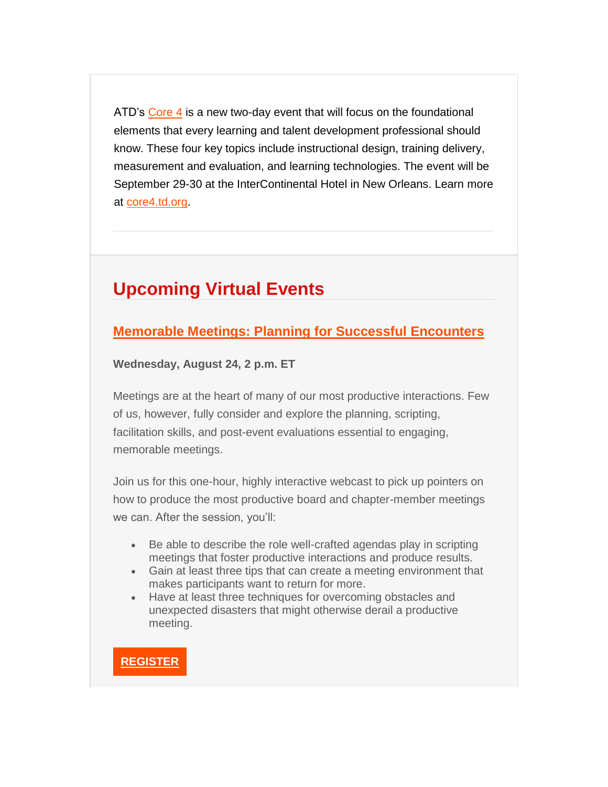ATD's [Core 4](http://comm.td.org/t/l?ssid=21122&subscriber_id=bvnhonqparaxemcwpufzfshxtthwbel&delivery_id=apnppyppkkjdjpyonhpjxtfsxyjhbig&td=eKL5lKUJ0w_JoKNQqSB-KAC_hHH9qgzu4n_2XftfKIYQKV4M66deScv77z10KZ3uoRB1II9_rLD5zXNu7NqZWNiAiTTjWV0gu1C4pXHju1sE7pyzsH0AZbyTm9U-3LuSxoXMbv4K3_WyG37Zuakm8ipFToXqU5MyiTb1uIByiBmeZ7Cn4FCcwXYZZWZUmgWQlU4fpAhn5ngSxEL2r7MlZG_CCYvbLi4Hdeza_zCNq8RapHQv3YDa9rIw) is a new two-day event that will focus on the foundational elements that every learning and talent development professional should know. These four key topics include instructional design, training delivery, measurement and evaluation, and learning technologies. The event will be September 29-30 at the InterContinental Hotel in New Orleans. Learn more at [core4.td.org.](http://comm.td.org/t/l?ssid=21122&subscriber_id=bvnhonqparaxemcwpufzfshxtthwbel&delivery_id=apnppyppkkjdjpyonhpjxtfsxyjhbig&td=Fi4tNI4lpHyGjXxAVnza_Q71aJ9KkHeegxVJbBRBuku3juS0KWhR39dSHEujIvL-tXbkUcnXdQQTzMFJ493OCYJSCAEEVrQnzIcTQkQ-lfaW1ikeNyUW6OQEH0NZJIjkYD3tTrCykfmaDwnN3bRrF05EKFNKat89FNNFgaRFtEfldxFAfrk-Fn_ynRjGLmL9oKOTnudtw0HOlbiFaJVCo22T3cAqubmsUXMHSIM_AkJujXmGb7pwRLEA)

## <span id="page-7-0"></span>**Upcoming Virtual Events**

### **[Memorable Meetings: Planning for Successful Encounters](http://comm.td.org/t/l?ssid=21122&subscriber_id=bvnhonqparaxemcwpufzfshxtthwbel&delivery_id=apnppyppkkjdjpyonhpjxtfsxyjhbig&td=HEBHTzq52qnrG1n3_UJRSA8oRs9jBpzpV_gj9Z7U5r-RItPM-Z-cGKWhMKcJOHs43KALCJXx3u8tS8H1ibWdLNYF9TdI9lXLoypEKPmyhR3F7UG1IisnV55p-jNzQfmMBOTEcAOnTDF4q3CBTEmP-4tykjInS425pojRAtS57y66Muh3Ho9jzWgiVCF2g31JSGjO8TQpJ6jB78A9eyu1okC5PcuYDtHOKwiwkmdaxiU_IRzvR1pjAhpmA_qSYi0yxKXUVB0Cy_o1cff0BzsCxgb_FAwB0KgZ-fQqoMW2E91PjzH_As37ZYJw)**

**Wednesday, August 24, 2 p.m. ET**

Meetings are at the heart of many of our most productive interactions. Few of us, however, fully consider and explore the planning, scripting, facilitation skills, and post-event evaluations essential to engaging, memorable meetings.

Join us for this one-hour, highly interactive webcast to pick up pointers on how to produce the most productive board and chapter-member meetings we can. After the session, you'll:

- Be able to describe the role well-crafted agendas play in scripting meetings that foster productive interactions and produce results.
- Gain at least three tips that can create a meeting environment that makes participants want to return for more.
- Have at least three techniques for overcoming obstacles and unexpected disasters that might otherwise derail a productive meeting.

**[REGISTER](http://comm.td.org/t/l?ssid=21122&subscriber_id=bvnhonqparaxemcwpufzfshxtthwbel&delivery_id=apnppyppkkjdjpyonhpjxtfsxyjhbig&td=lSbwgXhr9VzMrYDaLPCMnQmF6i4IdOOpcRoZ3PmXCWaRP0_Pq6LlzESoSVday-4ML3xY5WLbIFhWVZYgKDZcF17G6aljEGEC-fzP2tud3uCjPqdD0MKFXWTa6PP9SqK13-vknRni0bihHCzvvc_phc5Ka1CS6zn9nnkh3w73_qpyfgFvj7U5CUs_-Bn_OnV80JiyBF03yPstuNOH56RCa9US_NysdMu9Bc-L7vl4XJheShc3ilwQ4Xwg)**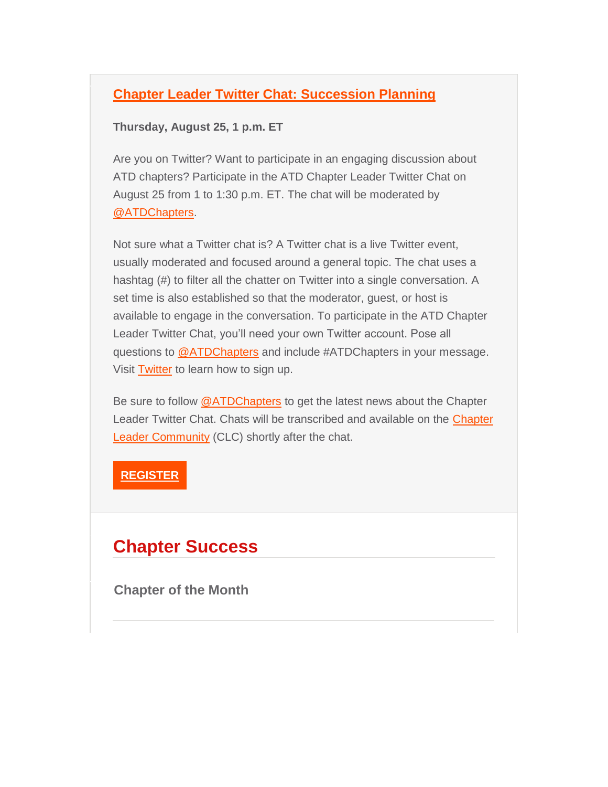### **[Chapter Leader Twitter Chat: Succession Planning](http://comm.td.org/t/l?ssid=21122&subscriber_id=bvnhonqparaxemcwpufzfshxtthwbel&delivery_id=apnppyppkkjdjpyonhpjxtfsxyjhbig&td=zAbFAjCZbROAFmIQRyc4AQ766kGSahyuBo0P33GRvEtQyDdG3Ki_S4s4WyXCUNlynWlqd51AyuJChw2LSHSMdEBcZYVxT-Qa5hpnmeaQRBap2uaSXqc-jeQ7q1q735pNLJSAROUqBqRBy3dZclV6Llbp5A0T1MK7hBhu3_aCuVpRJPE09XR_81I2Ypr0PXWW6izScyq3VI1RaUbLnYHqTtEnst68MyFxYsK1V9eTEZ9e9fZt4sJNflO03FP7bof9wy4sSKNLrW4t7GQb-pY_25erEY2G0VNYpj)**

### **Thursday, August 25, 1 p.m. ET**

Are you on Twitter? Want to participate in an engaging discussion about ATD chapters? Participate in the ATD Chapter Leader Twitter Chat on August 25 from 1 to 1:30 p.m. ET. The chat will be moderated by [@ATDChapters.](http://comm.td.org/t/l?ssid=21122&subscriber_id=bvnhonqparaxemcwpufzfshxtthwbel&delivery_id=apnppyppkkjdjpyonhpjxtfsxyjhbig&td=8BKu1m3nEIJLvPepAaVPqQObo0oFvicShPM25feI5cDd9MOy4gT7E7KOHPIikzoJGPQu8tRgEjqx0LdBwfNciHaEIEeDAELR-jJzyFcdYDask9IMIa0gnNktOR7bRqTO5fNZhGzXiNg5yHThPs9-T5RF_2xav8v4MGKDLOcHOl4M0ot_3caUF7AVMgYPc5RGUhHNM2aggiIl0vMSwSOoNd6rZ3yh8uoE3l6IUx4J91BSe9yIPZUqaNig)

Not sure what a Twitter chat is? A Twitter chat is a live Twitter event, usually moderated and focused around a general topic. The chat uses a hashtag (#) to filter all the chatter on Twitter into a single conversation. A set time is also established so that the moderator, guest, or host is available to engage in the conversation. To participate in the ATD Chapter Leader Twitter Chat, you'll need your own Twitter account. Pose all questions to [@ATDChapters](http://comm.td.org/t/l?ssid=21122&subscriber_id=bvnhonqparaxemcwpufzfshxtthwbel&delivery_id=apnppyppkkjdjpyonhpjxtfsxyjhbig&td=zy5YDJjZsMRLrzDnfbsgxwYawh2iN6uzbV7S_ePmg_9rZ4ce2H8cdgEGh77hsLyBWwfJvA6S7QZ1Vje4lU0zoPkac5A2mQx0KT65FWY4pFQkUuU2TxIKFhj7lk2Bgr1-hGv1dtd2ITXnPfh4NPU3PhElhG62AA29A-w6Rvt-J9q_C7AoaTcXvU2NnJ57dbSMm6JhTUr-S947dJ5pyz2wpDwIIL5wFrvZ-vmhcEZVMdB89JoZFMRdjb8g) and include #ATDChapters in your message. Visit [Twitter](http://comm.td.org/t/l?ssid=21122&subscriber_id=bvnhonqparaxemcwpufzfshxtthwbel&delivery_id=apnppyppkkjdjpyonhpjxtfsxyjhbig&td=VglQm47i_J_YlFoHUa69QAI8SgZbnpVpoRsdSnMS9ZqDqpjQ8K2zz3v2grHy1r1VGjYHct-f5EyhNHW3qMl8Oit46S8VwRj1SXAQECB68UhpttoPVAK7JmL6VIlLQ-AmVfq84hm3KGwWsCHNlroG0IT9aszPsBywu66M6qjx7juHUZIWt7ThW_pVqnI5C0zbzQ2NTjWFjHk1QRFBI8YYaXaWrT0bF1kxUPm8sEKv460K-gT5Pii50Hhw) to learn how to sign up.

Be sure to follow [@ATDChapters](http://comm.td.org/t/l?ssid=21122&subscriber_id=bvnhonqparaxemcwpufzfshxtthwbel&delivery_id=apnppyppkkjdjpyonhpjxtfsxyjhbig&td=4UaOReVhTQyMQ7B2mdmlUwO8MC2co30VppW0JfIkoaP01egF87hwvHru2x9uPgsm71iv4FeCfyRjSm4tUjL_Vi6TomcKeJxXPoGfrl5-8D7uRSIfW-ZnbXgDRekdXV-_nAWD_un3PA1SvHdMEX2VqZEFnjvx9RV6Fpigk7-xzcOC3z-zJBWNL-yoqbxQSUYHryoYBFDwtU0JMnvxigp_REpIG_7WAdHWsGy1pjztv51hix09dn0kfGuw) to get the latest news about the Chapter Leader Twitter Chat. Chats will be transcribed and available on the [Chapter](http://comm.td.org/t/l?ssid=21122&subscriber_id=bvnhonqparaxemcwpufzfshxtthwbel&delivery_id=apnppyppkkjdjpyonhpjxtfsxyjhbig&td=kKxibl0FkdlC3mKVZfIiGARv0_FYDK1pfEC8PG63cFB6M3LcG5vgBLZDGwi7kjxZVcUS5CtnqKyU-p8i8iUP0G8SxY2P3V597wGzQ-MGsrGMCwuuJ7UOGPKzlxIZ70dfnnZoUHSkgQ7KJfufBhJlC79qjkwc4xz7J87ovPBsqnHM_a0biU5dZ7Ky00vPwmXyvUhYicqPh-3aAQDyTAQA7AYNTWmJ3uR7cxxbl8BiOTlntR3qkHsJ-gjeo65zgDefzWE3dYxQcDkHE)  [Leader Community](http://comm.td.org/t/l?ssid=21122&subscriber_id=bvnhonqparaxemcwpufzfshxtthwbel&delivery_id=apnppyppkkjdjpyonhpjxtfsxyjhbig&td=kKxibl0FkdlC3mKVZfIiGARv0_FYDK1pfEC8PG63cFB6M3LcG5vgBLZDGwi7kjxZVcUS5CtnqKyU-p8i8iUP0G8SxY2P3V597wGzQ-MGsrGMCwuuJ7UOGPKzlxIZ70dfnnZoUHSkgQ7KJfufBhJlC79qjkwc4xz7J87ovPBsqnHM_a0biU5dZ7Ky00vPwmXyvUhYicqPh-3aAQDyTAQA7AYNTWmJ3uR7cxxbl8BiOTlntR3qkHsJ-gjeo65zgDefzWE3dYxQcDkHE) (CLC) shortly after the chat.

### **[REGISTER](http://comm.td.org/t/l?ssid=21122&subscriber_id=bvnhonqparaxemcwpufzfshxtthwbel&delivery_id=apnppyppkkjdjpyonhpjxtfsxyjhbig&td=llONAHyUHIYKOp3u1cptqQccYFpLBBHzCjJNwzeRxavOAfi_CivTH2RryI2aOP24Y7LZBiqRsXnWWZpHXd1dfRw0RWlWR8vGo_fnk2aERLYoafbdMxVk9EpsacvP8KAtYEh5RtI013YbM4flx1gI5_JrG5ifJD2GKjHHPL4uMt5FSnRwT7o2NLsC5FYw-COuRMkI1eHWDTnNZuv28IekzT2dcdLwMii9BwgnAVzTFoHSMvYAR0oRWZgA)**

## **Chapter Success**

<span id="page-8-0"></span>**Chapter of the Month**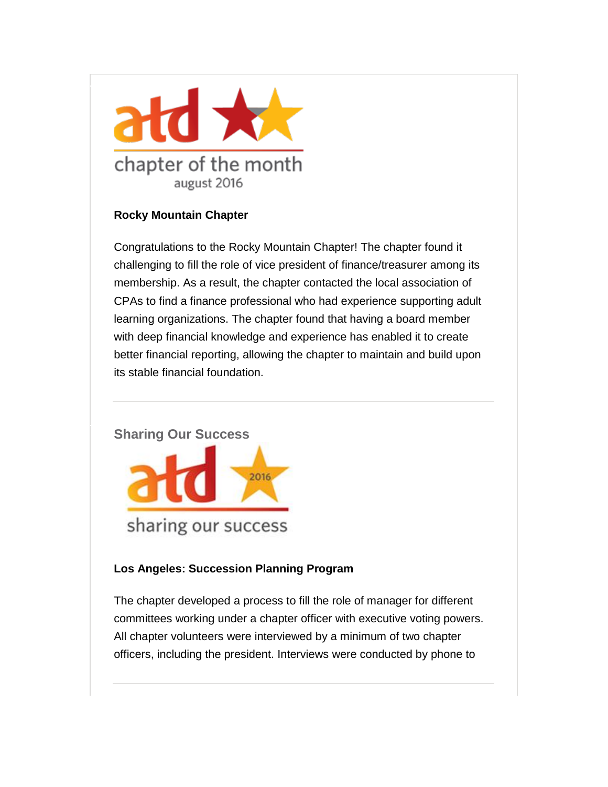

### **Rocky Mountain Chapter**

Congratulations to the Rocky Mountain Chapter! The chapter found it challenging to fill the role of vice president of finance/treasurer among its membership. As a result, the chapter contacted the local association of CPAs to find a finance professional who had experience supporting adult learning organizations. The chapter found that having a board member with deep financial knowledge and experience has enabled it to create better financial reporting, allowing the chapter to maintain and build upon its stable financial foundation.

### <span id="page-9-0"></span>**Sharing Our Success**



### **Los Angeles: Succession Planning Program**

The chapter developed a process to fill the role of manager for different committees working under a chapter officer with executive voting powers. All chapter volunteers were interviewed by a minimum of two chapter officers, including the president. Interviews were conducted by phone to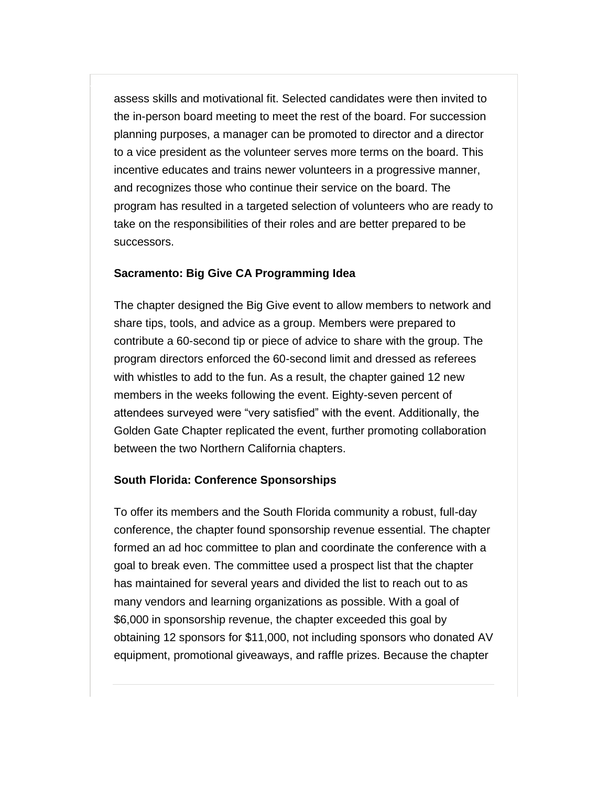assess skills and motivational fit. Selected candidates were then invited to the in-person board meeting to meet the rest of the board. For succession planning purposes, a manager can be promoted to director and a director to a vice president as the volunteer serves more terms on the board. This incentive educates and trains newer volunteers in a progressive manner, and recognizes those who continue their service on the board. The program has resulted in a targeted selection of volunteers who are ready to take on the responsibilities of their roles and are better prepared to be successors.

### **Sacramento: Big Give CA Programming Idea**

The chapter designed the Big Give event to allow members to network and share tips, tools, and advice as a group. Members were prepared to contribute a 60-second tip or piece of advice to share with the group. The program directors enforced the 60-second limit and dressed as referees with whistles to add to the fun. As a result, the chapter gained 12 new members in the weeks following the event. Eighty-seven percent of attendees surveyed were "very satisfied" with the event. Additionally, the Golden Gate Chapter replicated the event, further promoting collaboration between the two Northern California chapters.

#### **South Florida: Conference Sponsorships**

To offer its members and the South Florida community a robust, full-day conference, the chapter found sponsorship revenue essential. The chapter formed an ad hoc committee to plan and coordinate the conference with a goal to break even. The committee used a prospect list that the chapter has maintained for several years and divided the list to reach out to as many vendors and learning organizations as possible. With a goal of \$6,000 in sponsorship revenue, the chapter exceeded this goal by obtaining 12 sponsors for \$11,000, not including sponsors who donated AV equipment, promotional giveaways, and raffle prizes. Because the chapter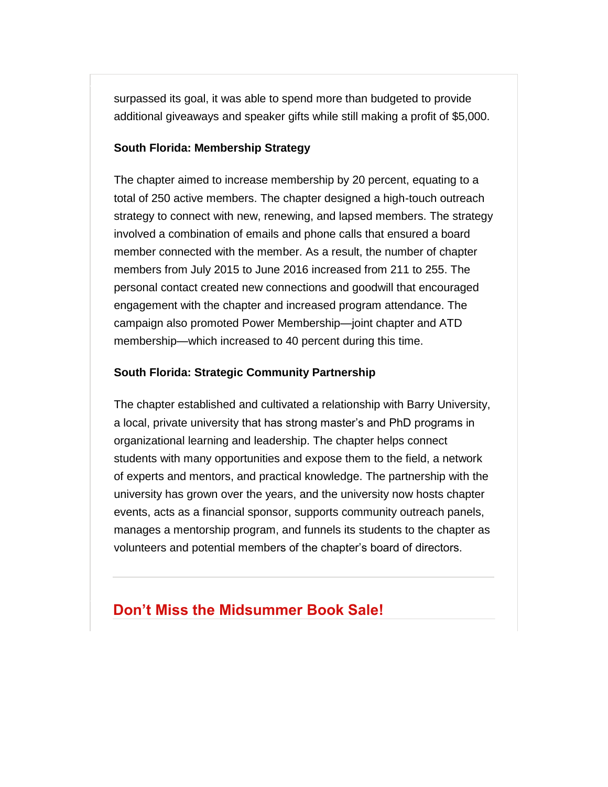surpassed its goal, it was able to spend more than budgeted to provide additional giveaways and speaker gifts while still making a profit of \$5,000.

#### **South Florida: Membership Strategy**

The chapter aimed to increase membership by 20 percent, equating to a total of 250 active members. The chapter designed a high-touch outreach strategy to connect with new, renewing, and lapsed members. The strategy involved a combination of emails and phone calls that ensured a board member connected with the member. As a result, the number of chapter members from July 2015 to June 2016 increased from 211 to 255. The personal contact created new connections and goodwill that encouraged engagement with the chapter and increased program attendance. The campaign also promoted Power Membership—joint chapter and ATD membership—which increased to 40 percent during this time.

#### **South Florida: Strategic Community Partnership**

The chapter established and cultivated a relationship with Barry University, a local, private university that has strong master's and PhD programs in organizational learning and leadership. The chapter helps connect students with many opportunities and expose them to the field, a network of experts and mentors, and practical knowledge. The partnership with the university has grown over the years, and the university now hosts chapter events, acts as a financial sponsor, supports community outreach panels, manages a mentorship program, and funnels its students to the chapter as volunteers and potential members of the chapter's board of directors.

### **Don't Miss the Midsummer Book Sale!**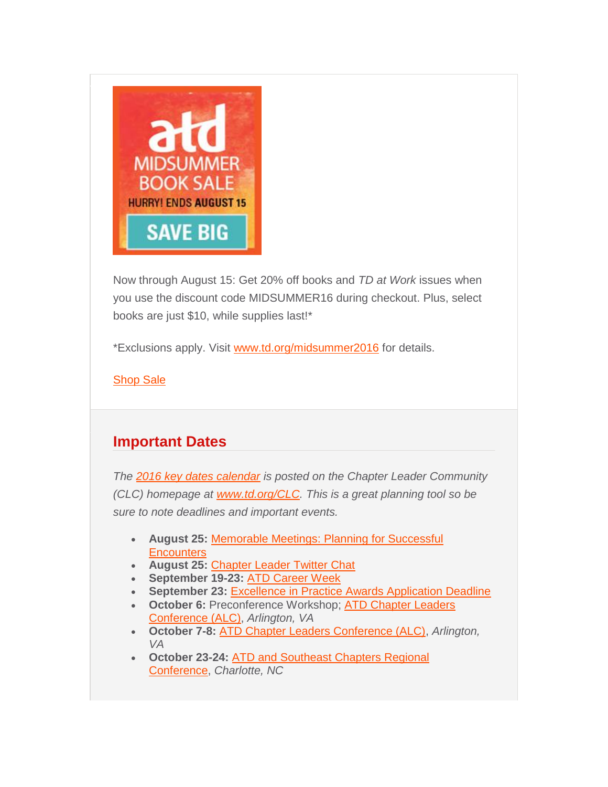

Now through August 15: Get 20% off books and *TD at Work* issues when you use the discount code MIDSUMMER16 during checkout. Plus, select books are just \$10, while supplies last!\*

\*Exclusions apply. Visit [www.td.org/midsummer2016](http://comm.td.org/t/l?ssid=21122&subscriber_id=bvnhonqparaxemcwpufzfshxtthwbel&delivery_id=apnppyppkkjdjpyonhpjxtfsxyjhbig&td=raG4hXajte9j9ERms9w0vQ9IhsA4BK1WmRx4eoMtN4s_HHlLDGhj1HGqh2-jUaDbYe4ExuRgV4r-Q1QzP9fvW0nfhdeeg8l375xN6se6wRR_vsPhOEifX5wl6RyuUwHQtAy9aJ8Ajo6n65wLKxldanS2VKc7nMghFqDYUSaDSOPsgyqjbPgx51X8zY4aL4b89sOZv8W-O81xWX7RTZhLa04yyF4LMiIUChZVZiWZJ_7PSLJfEIpX3Kp8-5yMPHEJfHDEa8Vu4ycJc) for details.

**[Shop Sale](http://comm.td.org/t/l?ssid=21122&subscriber_id=bvnhonqparaxemcwpufzfshxtthwbel&delivery_id=apnppyppkkjdjpyonhpjxtfsxyjhbig&td=n2xD70vCfQoY9S5UlrGlmg5BYCFvEIa3XenHtn7v9dBa0bAJ_1U7wqHuc5pOWdDuoPvgFnuyiIL_gjM_ZCo2TT-hcJfjATKRXEuifo3QA5_6MjIBykRfteK1Nl213nIJPEKinz7hSEPMW1jbLhzfd8je-xZa7mlHI6JT7iuWnlQLcXh7mDKtzCepgbuvHDuHm9nVxq_jG0kOr5KDfzX8zxaLccKnocsOdXY06KR6N5LlePulGMoWnBEQ)** 

### <span id="page-12-0"></span>**Important Dates**

*The [2016 key dates calendar](http://comm.td.org/t/l?ssid=21122&subscriber_id=bvnhonqparaxemcwpufzfshxtthwbel&delivery_id=apnppyppkkjdjpyonhpjxtfsxyjhbig&td=ewoEiH29Vuzvk-6kBvzanwiQBJhWYwVV8quepNBbRASOcrxMQc4ZYy_yKNcZUpm055YpWmoNXsuu4QWk1LtS23A_UN07Rgc1Yg4gy-asUlKLIaLa5c-jBLtwHV0mRQ0xjvbMMHOOVTPPVk83UsDGHZmVnkCHDDMxiICcjN4RyQFAWAwqs400b7NK1ZEBaP1m68RRY-apszUMzuqqlwoUYaKwlV8rTEURelY83JMMW9u7r_mFOflubxk5eMBKxeB67sGlRzVXuER08) is posted on the Chapter Leader Community (CLC) homepage at [www.td.org/CLC.](http://comm.td.org/t/l?ssid=21122&subscriber_id=bvnhonqparaxemcwpufzfshxtthwbel&delivery_id=apnppyppkkjdjpyonhpjxtfsxyjhbig&td=06C5QOZ8QJpXaf561TwHCg7TodUl1ArsuPp7nd55VlqR8pNikIvIb3n2dkWze5wrWLOSeLk8SWzigq5r2Z68gv16OdAVMC6WNqRTAsIWhbHAz5ksI2I15eDH3DVetnI_i-tJqYwN1c3_-vPPoas43VDFyqm_F6uVMjDC12Fywxt0Oc_HjaafKXNAQ2Or_eiGuSO6EE7Rf7fK8Mf5kaeUq8nQ2CC8v4onIwlvhZRqok1Duj0-4HXdlGYw) This is a great planning tool so be sure to note deadlines and important events.*

- **August 25:** [Memorable Meetings: Planning for Successful](http://comm.td.org/t/l?ssid=21122&subscriber_id=bvnhonqparaxemcwpufzfshxtthwbel&delivery_id=apnppyppkkjdjpyonhpjxtfsxyjhbig&td=JH9dI_DDTt1lyEd3xiwrbgKtEDXleKcH36BeDpc0TspXv8oIExPy2xDDv-bLE81bXAypIWXbIdF3VrYCieP2WZzXwxFF5dxRpGKhYNXzSz4sPDIQ3L6hqYHdbwg2Stxx7yZa03B6hONTyPNuROrDNdR4HN1d2YP4QXfOa7fk0xEAKiuj19gVpcrPgICjJsuCcvFNKLCzzkwrrHBlGNqkQt5ZndZp38P9-v7tHCr8ATix680zv5yPD8CfGgR4tPErY2btExmp-sbsV7qOEShe-Hn659uP1E8kBBudhdawzbWIeEmY6ZPITFcA)  **[Encounters](http://comm.td.org/t/l?ssid=21122&subscriber_id=bvnhonqparaxemcwpufzfshxtthwbel&delivery_id=apnppyppkkjdjpyonhpjxtfsxyjhbig&td=JH9dI_DDTt1lyEd3xiwrbgKtEDXleKcH36BeDpc0TspXv8oIExPy2xDDv-bLE81bXAypIWXbIdF3VrYCieP2WZzXwxFF5dxRpGKhYNXzSz4sPDIQ3L6hqYHdbwg2Stxx7yZa03B6hONTyPNuROrDNdR4HN1d2YP4QXfOa7fk0xEAKiuj19gVpcrPgICjJsuCcvFNKLCzzkwrrHBlGNqkQt5ZndZp38P9-v7tHCr8ATix680zv5yPD8CfGgR4tPErY2btExmp-sbsV7qOEShe-Hn659uP1E8kBBudhdawzbWIeEmY6ZPITFcA)**
- **August 25:** [Chapter Leader Twitter Chat](http://comm.td.org/t/l?ssid=21122&subscriber_id=bvnhonqparaxemcwpufzfshxtthwbel&delivery_id=apnppyppkkjdjpyonhpjxtfsxyjhbig&td=ITMyY_RiQ_K5NNivCT4cbA6m30qmQrZ5YLJJqCeDUnXrLqNCyAXh8imgo_gK90k4wLgc5-rwBCkWD3LBWQm1SEv3jgyzSmTG6VwaWHAdlZzRaa7Q4OeAwv1mHHOMwcXEQm9LSVSxyysoo9yqXEbOMIPJSaFva4hoQEs9TlOQx3rlmTwefjBwmGbSaEbuZgRLcwmuBNS8beVO4s2n0ynDLDHc9WavH36c9yHp2teoFgpwkmiBXtw1HFMncBNJJe6nOuUh75pe5c7MY)
- **September 19-23:** [ATD Career Week](http://comm.td.org/t/l?ssid=21122&subscriber_id=bvnhonqparaxemcwpufzfshxtthwbel&delivery_id=apnppyppkkjdjpyonhpjxtfsxyjhbig&td=g26v1M_Am89wwHklVWzJSAcn-reofv-6C6vvWN0sEXICR7XYhxvc4TS1szD7fQ2WmiLTMchopVEfgVVVo6SryX3xZlZEkDYRrcddof80XStGj_Fpw3_CLYJnSOyipt71EvesglC1wT6TtIvZ5lH-IW8BhWTN_g2P5HFOiQPyRhH1zsawvflfxyW5fn3nJ3tpbDrPjxKO3-615wHFrwee70pcLQeJi02R1AJaqfhvouJHRd4QdfUb5cAg)
- **September 23:** [Excellence in Practice Awards Application Deadline](http://comm.td.org/t/l?ssid=21122&subscriber_id=bvnhonqparaxemcwpufzfshxtthwbel&delivery_id=apnppyppkkjdjpyonhpjxtfsxyjhbig&td=C1i0dLAF0Yi-NifpyxsGPAAjQfnx7GUZMlUHAq9Wk5za-SgZNiiN1UY8-arUu9hXPg_XloSgqEv3WGoJFqrclGV61oHM04keeYw6fqMXt5f6a8r1Ml8stQ2A4ctOzJ4c4w4wbfwPmp1al29M-5rWzXeOydBy8eVJYz66Fh1TBaUVmmMLQX_j8evqIQznz9qusJznu1qg1qSo3pLgoeaMBcoY_wsF2tPWHn-1iBoc0Kot7jQHqk-36yxY5dWzz9ZMQOKdQXywaTo3Jdylfi73zhsUQWT6f8-Xhh)
- **October 6:** Preconference Workshop; [ATD Chapter Leaders](http://comm.td.org/t/l?ssid=21122&subscriber_id=bvnhonqparaxemcwpufzfshxtthwbel&delivery_id=apnppyppkkjdjpyonhpjxtfsxyjhbig&td=aYpPxhOWkeXp93KfRDlHngCpnVoAj8WPzA-bMBu1qxTWFHtkmynFFOp1w8k4mFIE_bsP2Ui42yq9Q_IALJwDIawVeq2ishoFV_6x7X7wELhQ-eT_t9zgRXll-9A7Qidcu84flpD3Z5-22F-NsgS2Sh2BUBPEMq-_KwISfsrtABHip8tPzf_RTp5MYwFhcETdWiK9QySjg_SM_I2fQZsOAuBDAg5Z-RDIzbsSN1ulGgw2jlzfP6EJ-XjZFZtF1zRuvEgnK-C8qIhSw)  [Conference \(ALC\),](http://comm.td.org/t/l?ssid=21122&subscriber_id=bvnhonqparaxemcwpufzfshxtthwbel&delivery_id=apnppyppkkjdjpyonhpjxtfsxyjhbig&td=aYpPxhOWkeXp93KfRDlHngCpnVoAj8WPzA-bMBu1qxTWFHtkmynFFOp1w8k4mFIE_bsP2Ui42yq9Q_IALJwDIawVeq2ishoFV_6x7X7wELhQ-eT_t9zgRXll-9A7Qidcu84flpD3Z5-22F-NsgS2Sh2BUBPEMq-_KwISfsrtABHip8tPzf_RTp5MYwFhcETdWiK9QySjg_SM_I2fQZsOAuBDAg5Z-RDIzbsSN1ulGgw2jlzfP6EJ-XjZFZtF1zRuvEgnK-C8qIhSw) *Arlington, VA*
- **October 7-8:** [ATD Chapter Leaders Conference \(ALC\),](http://comm.td.org/t/l?ssid=21122&subscriber_id=bvnhonqparaxemcwpufzfshxtthwbel&delivery_id=apnppyppkkjdjpyonhpjxtfsxyjhbig&td=SDm5O-rVXqAQHBmfTVP0dgjEe88q_HME0H373pB7Qejj5ynD97uCeu0GkLKWxy2-WRQse0ePiu1BNbmd8M4Z7xy7fAcNMpVh_cE4uKPsb0F8WJyEYj1osE7e2c--m5ENO7WTZy03yJpGwszIVK313NXquCYCbX-0YMriUp-CNaybCj1XJaQ0L01njmnPsZ5Nr_zc2wEn94GiQ0iRZgyklStIran3fmtwTutHGs2_86nVTRiQzS4ohm40yeBcS1v0fvoQtMG4xMgrI) *Arlington, VA*
- **October 23-24:** [ATD and Southeast Chapters Regional](http://comm.td.org/t/l?ssid=21122&subscriber_id=bvnhonqparaxemcwpufzfshxtthwbel&delivery_id=apnppyppkkjdjpyonhpjxtfsxyjhbig&td=HayNgK5CSK3t-31y3_-y-AlT_yAZ5umcpmQUcPY8J-w-Gl4R8Fc37zKpyNFZtkkWj71YLb1aTJ4RUX6G5kHfTDjsyXcQupEKem-F8Hovol9f8TBJkYGgpSodUS2WL2h84aieMR6FsGADndGMBJkEDOe6oXqON8AFs3wH2XSVaCfetDUR4jST5sXcGneZjoCiZAz7EZcmhMp39K8cv551A8UV9cHqfVH2M1EL01ONG0gpdi-i2IKftCfvj4cZoMvzXZ6ZIEj6-cKU__IsidG09nw3LzJVPBNqEj)  [Conference,](http://comm.td.org/t/l?ssid=21122&subscriber_id=bvnhonqparaxemcwpufzfshxtthwbel&delivery_id=apnppyppkkjdjpyonhpjxtfsxyjhbig&td=HayNgK5CSK3t-31y3_-y-AlT_yAZ5umcpmQUcPY8J-w-Gl4R8Fc37zKpyNFZtkkWj71YLb1aTJ4RUX6G5kHfTDjsyXcQupEKem-F8Hovol9f8TBJkYGgpSodUS2WL2h84aieMR6FsGADndGMBJkEDOe6oXqON8AFs3wH2XSVaCfetDUR4jST5sXcGneZjoCiZAz7EZcmhMp39K8cv551A8UV9cHqfVH2M1EL01ONG0gpdi-i2IKftCfvj4cZoMvzXZ6ZIEj6-cKU__IsidG09nw3LzJVPBNqEj) *Charlotte, NC*